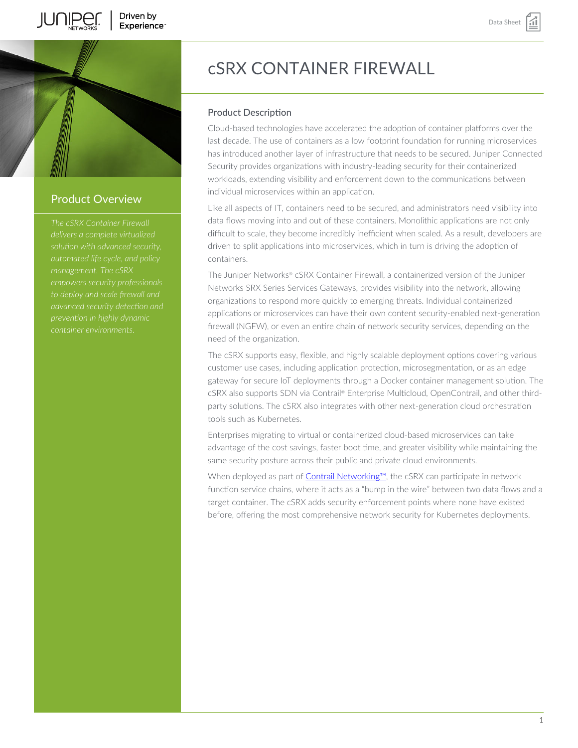



# Product Overview

*solution with advanced security, empowers security professionals advanced security detection and*

# cSRX CONTAINER FIREWALL

# Product Description

Cloud-based technologies have accelerated the adoption of container platforms over the last decade. The use of containers as a low footprint foundation for running microservices has introduced another layer of infrastructure that needs to be secured. Juniper Connected Security provides organizations with industry-leading security for their containerized workloads, extending visibility and enforcement down to the communications between individual microservices within an application.

Like all aspects of IT, containers need to be secured, and administrators need visibility into data flows moving into and out of these containers. Monolithic applications are not only difficult to scale, they become incredibly inefficient when scaled. As a result, developers are driven to split applications into microservices, which in turn is driving the adoption of containers.

The Juniper Networks® cSRX Container Firewall, a containerized version of the Juniper Networks SRX Series Services Gateways, provides visibility into the network, allowing organizations to respond more quickly to emerging threats. Individual containerized applications or microservices can have their own content security-enabled next-generation firewall (NGFW), or even an entire chain of network security services, depending on the need of the organization.

The cSRX supports easy, flexible, and highly scalable deployment options covering various customer use cases, including application protection, microsegmentation, or as an edge gateway for secure IoT deployments through a Docker container management solution. The cSRX also supports SDN via Contrail® Enterprise Multicloud, OpenContrail, and other thirdparty solutions. The cSRX also integrates with other next-generation cloud orchestration tools such as Kubernetes.

Enterprises migrating to virtual or containerized cloud-based microservices can take advantage of the cost savings, faster boot time, and greater visibility while maintaining the same security posture across their public and private cloud environments.

When deployed as part of Contrail Networking™, the cSRX can participate in network function service chains, where it acts as a "bump in the wire" between two data flows and a target container. The cSRX adds security enforcement points where none have existed before, offering the most comprehensive network security for Kubernetes deployments.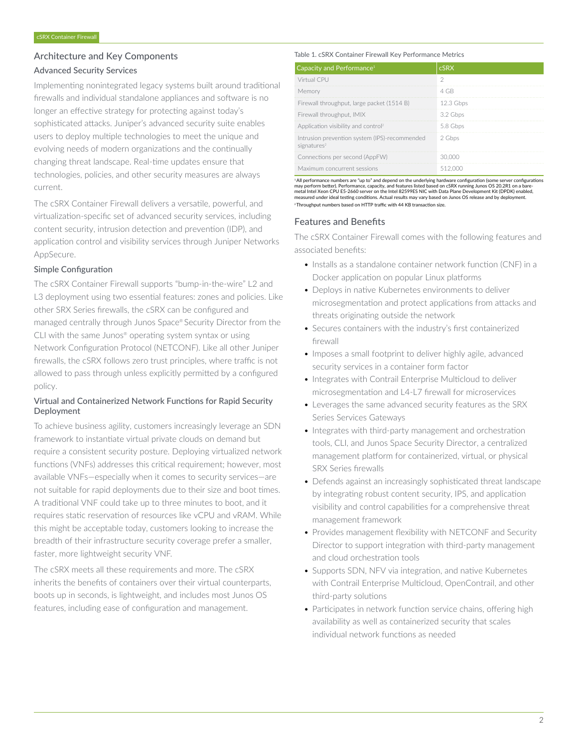# Architecture and Key Components

# Advanced Security Services

Implementing nonintegrated legacy systems built around traditional firewalls and individual standalone appliances and software is no longer an effective strategy for protecting against today's sophisticated attacks. Juniper's advanced security suite enables users to deploy multiple technologies to meet the unique and evolving needs of modern organizations and the continually changing threat landscape. Real-time updates ensure that technologies, policies, and other security measures are always current.

The cSRX Container Firewall delivers a versatile, powerful, and virtualization-specific set of advanced security services, including content security, intrusion detection and prevention (IDP), and application control and visibility services through Juniper Networks AppSecure.

## Simple Configuration

The cSRX Container Firewall supports "bump-in-the-wire" L2 and L3 deployment using two essential features: zones and policies. Like other SRX Series firewalls, the cSRX can be configured and managed centrally through Junos Space® Security Director from the CLI with the same Junos® operating system syntax or using Network Configuration Protocol (NETCONF). Like all other Juniper firewalls, the cSRX follows zero trust principles, where traffic is not allowed to pass through unless explicitly permitted by a configured policy.

# Virtual and Containerized Network Functions for Rapid Security Deployment

To achieve business agility, customers increasingly leverage an SDN framework to instantiate virtual private clouds on demand but require a consistent security posture. Deploying virtualized network functions (VNFs) addresses this critical requirement; however, most available VNFs—especially when it comes to security services—are not suitable for rapid deployments due to their size and boot times. A traditional VNF could take up to three minutes to boot, and it requires static reservation of resources like vCPU and vRAM. While this might be acceptable today, customers looking to increase the breadth of their infrastructure security coverage prefer a smaller, faster, more lightweight security VNF.

The cSRX meets all these requirements and more. The cSRX inherits the benefits of containers over their virtual counterparts, boots up in seconds, is lightweight, and includes most Junos OS features, including ease of configuration and management.

#### Table 1. cSRX Container Firewall Key Performance Metrics

| Capacity and Performance <sup>1</sup>                                    | <b>cSRX</b> |
|--------------------------------------------------------------------------|-------------|
| Virtual CPU                                                              |             |
| Memory                                                                   | 4 GB        |
| Firewall throughput, large packet (1514 B)                               | 12.3 Gbps   |
| Firewall throughput, IMIX                                                | 3.2 Gbps    |
| Application visibility and control <sup>2</sup>                          | 5.8 Gbps    |
| Intrusion prevention system (IPS)-recommended<br>signatures <sup>2</sup> | 2 Gbps      |
| Connections per second (AppFW)                                           | 30.000      |
| Maximum concurrent sessions                                              | 512.000     |

<sup>1</sup>All performance numbers are "up to" and depend on the underlying hardware configuration (some server configurations may perform better). Performance, capacity, and features listed based on cSRX running Junos OS 20.2R1 on a bare<br>metal Intel Xeon CPU E5-2660 server on the Intel 82599ES NIC with Data Plane Development Kit (DPDK) enabled,<br>m <sup>2</sup>Throughput numbers based on HTTP traffic with 44 KB transaction size.

## Features and Benefits

The cSRX Container Firewall comes with the following features and associated benefits:

- Installs as a standalone container network function (CNF) in a Docker application on popular Linux platforms
- Deploys in native Kubernetes environments to deliver microsegmentation and protect applications from attacks and threats originating outside the network
- Secures containers with the industry's first containerized firewall
- Imposes a small footprint to deliver highly agile, advanced security services in a container form factor
- Integrates with Contrail Enterprise Multicloud to deliver microsegmentation and L4-L7 firewall for microservices
- Leverages the same advanced security features as the SRX Series Services Gateways
- Integrates with third-party management and orchestration tools, CLI, and Junos Space Security Director, a centralized management platform for containerized, virtual, or physical SRX Series firewalls
- Defends against an increasingly sophisticated threat landscape by integrating robust content security, IPS, and application visibility and control capabilities for a comprehensive threat management framework
- Provides management flexibility with NETCONF and Security Director to support integration with third-party management and cloud orchestration tools
- Supports SDN, NFV via integration, and native Kubernetes with Contrail Enterprise Multicloud, OpenContrail, and other third-party solutions
- Participates in network function service chains, offering high availability as well as containerized security that scales individual network functions as needed